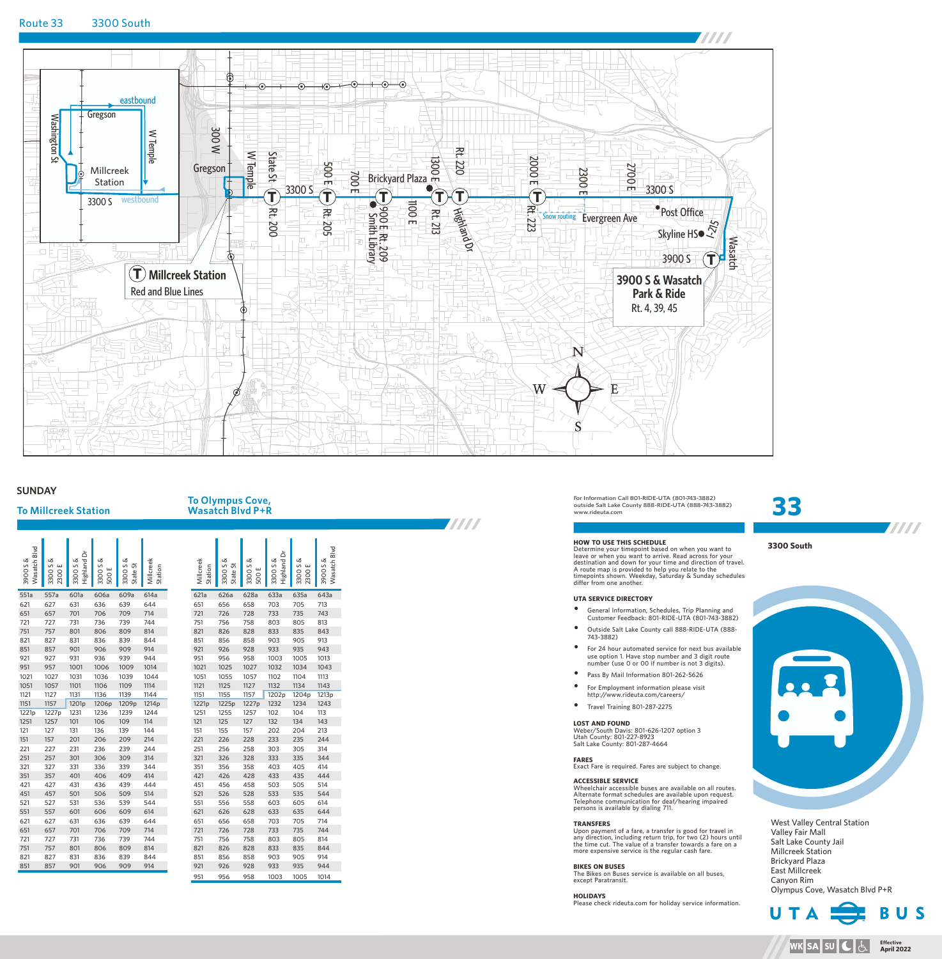

# **SUNDAY**

# **To Millcreek Station**

# **To Olympus Cove, Wasatch Blvd P+R**

| Wasatch Blvd<br>3900S& | 3300 S &<br>ш<br>2300 | Highland Dr<br>3300 S & | 3300 S &<br>500E | 3300 S &<br>State St | Millcreek<br>Station | Millcreek<br>Station | 3300 S &<br>State St | 3300 S &<br>ш<br>500 | ă<br>Highland<br>3300 S & | 3300 S &<br>ш<br>2300 | Wheele Blud<br>3900S& |
|------------------------|-----------------------|-------------------------|------------------|----------------------|----------------------|----------------------|----------------------|----------------------|---------------------------|-----------------------|-----------------------|
| 551a                   | 557a                  | 601a                    | 606a             | 609a                 | 614a                 | 621a                 | 626a                 | 628a                 | 633a                      | 635a                  | 643a                  |
| 621                    | 627                   | 631                     | 636              | 639                  | 644                  | 651                  | 656                  | 658                  | 703                       | 705                   | 713                   |
| 651                    | 657                   | 701                     | 706              | 709                  | 714                  | 721                  | 726                  | 728                  | 733                       | 735                   | 743                   |
| 721                    | 727                   | 731                     | 736              | 739                  | 744                  | 751                  | 756                  | 758                  | 803                       | 805                   | 813                   |
| 751                    | 757                   | 801                     | 806              | 809                  | 814                  | 821                  | 826                  | 828                  | 833                       | 835                   | 843                   |
| 821                    | 827                   | 831                     | 836              | 839                  | 844                  | 851                  | 856                  | 858                  | 903                       | 905                   | 913                   |
| 851                    | 857                   | 901                     | 906              | 909                  | 914                  | 921                  | 926                  | 928                  | 933                       | 935                   | 943                   |
| 921                    | 927                   | 931                     | 936              | 939                  | 944                  | 951                  | 956                  | 958                  | 1003                      | 1005                  | 1013                  |
| 951                    | 957                   | 1001                    | 1006             | 1009                 | 1014                 | 1021                 | 1025                 | 1027                 | 1032                      | 1034                  | 1043                  |
| 1021                   | 1027                  | 1031                    | 1036             | 1039                 | 1044                 | 1051                 | 1055                 | 1057                 | 1102                      | 1104                  | 1113                  |
| 1051                   | 1057                  | 1101                    | 1106             | 1109                 | 1114                 | 1121                 | 1125                 | 1127                 | 1132                      | 1134                  | 1143                  |
| 1121                   | 1127                  | 1131                    | 1136             | 1139                 | 1144                 | 1151                 | 1155                 | 1157                 | 1202p                     | 1204p                 | 1213p                 |
| 1151                   | 1157                  | 1201 <sub>p</sub>       | 1206p            | 1209p                | 1214p                | 1221p                | 1225p                | 1227p                | 1232                      | 1234                  | 1243                  |
| 1221p                  | 1227p                 | 1231                    | 1236             | 1239                 | 1244                 | 1251                 | 1255                 | 1257                 | 102                       | 104                   | 113                   |
| 1251                   | 1257                  | 101                     | 106              | 109                  | 114                  | 121                  | 125                  | 127                  | 132                       | 134                   | 143                   |
| 121                    | 127                   | 131                     | 136              | 139                  | 144                  | 151                  | 155                  | 157                  | 202                       | 204                   | 213                   |
| 151                    | 157                   | 201                     | 206              | 209                  | 214                  | 221                  | 226                  | 228                  | 233                       | 235                   | 244                   |
| 221                    | 227                   | 231                     | 236              | 239                  | 244                  | 251                  | 256                  | 258                  | 303                       | 305                   | 314                   |
| 251                    | 257                   | 301                     | 306              | 309                  | 314                  | 321                  | 326                  | 328                  | 333                       | 335                   | 344                   |
| 321                    | 327                   | 331                     | 336              | 339                  | 344                  | 351                  | 356                  | 358                  | 403                       | 405                   | 414                   |
| 351                    | 357                   | 401                     | 406              | 409                  | 414                  | 421                  | 426                  | 428                  | 433                       | 435                   | 444                   |
| 421                    | 427                   | 431                     | 436              | 439                  | 444                  | 451                  | 456                  | 458                  | 503                       | 505                   | 514                   |
| 451                    | 457                   | 501                     | 506              | 509                  | 514                  | 521                  | 526                  | 528                  | 533                       | 535                   | 544                   |
| 521                    | 527                   | 531                     | 536              | 539                  | 544                  | 551                  | 556                  | 558                  | 603                       | 605                   | 614                   |
| 551                    | 557                   | 601                     | 606              | 609                  | 614                  | 621                  | 626                  | 628                  | 633                       | 635                   | 644                   |
| 621                    | 627                   | 631                     | 636              | 639                  | 644                  | 651                  | 656                  | 658                  | 703                       | 705                   | 714                   |
| 651                    | 657                   | 701                     | 706              | 709                  | 714                  | 721                  | 726                  | 728                  | 733                       | 735                   | 744                   |
| 721                    | 727                   | 731                     | 736              | 739                  | 744                  | 751                  | 756                  | 758                  | 803                       | 805                   | 814                   |
| 751                    | 757                   | 801                     | 806              | 809                  | 814                  | 821                  | 826                  | 828                  | 833                       | 835                   | 844                   |
| 821                    | 827                   | 831                     | 836              | 839                  | 844                  | 851                  | 856                  | 858                  | 903                       | 905                   | 914                   |
| 851                    | 857                   | 901                     | 906              | 909                  | 914                  | 921                  | 926                  | 928                  | 933                       | 935                   | 944                   |
|                        |                       |                         |                  |                      |                      | $\sim$ $-1$          | $\cap$ r $\sim$      | 0 <sub>0</sub>       | 1002                      | 100F                  | 1011                  |

| VASALLII DIVU F TN |  |  |  |  |  |  |  |  |  |  |  |
|--------------------|--|--|--|--|--|--|--|--|--|--|--|
|                    |  |  |  |  |  |  |  |  |  |  |  |
|                    |  |  |  |  |  |  |  |  |  |  |  |
|                    |  |  |  |  |  |  |  |  |  |  |  |
|                    |  |  |  |  |  |  |  |  |  |  |  |

| Millcreek<br>Station | 3300 S &<br>5<br>State 9 | 3300 S &<br>ш<br>500 | Highland Dr<br>3300 S & | 3300 S &<br>2300 | Wasatch Blvd<br>3900S& |  |
|----------------------|--------------------------|----------------------|-------------------------|------------------|------------------------|--|
| 621a                 | 626a                     | 628a                 | 633a                    | 635a             | 643a                   |  |
| 651                  | 656                      | 658                  | 703                     | 705              | 713                    |  |
| 721                  | 726                      | 728                  | 733                     | 735              | 743                    |  |
| 751                  | 756                      | 758                  | 803                     | 805              | 813                    |  |
| 821                  | 826                      | 828                  | 833                     | 835              | 843                    |  |
| 851                  | 856                      | 858                  | 903                     | 905              | 913                    |  |
| 921                  | 926                      | 928                  | 933                     | 935              | 943                    |  |
| 951                  | 956                      | 958                  | 1003                    | 1005             | 1013                   |  |
| 1021                 | 1025                     | 1027                 | 1032                    | 1034             | 1043                   |  |
| 1051                 | 1055                     | 1057                 | 1102                    | 1104             | 1113                   |  |
| 1121                 | 1125                     | 1127                 | 1132                    | 1134             | 1143                   |  |
| 1151                 | 1155                     | 1157                 | 1202p                   | 1204p            | 1213p                  |  |
| 1221p                | 1225p                    | 1227p                | 1232                    | 1234             | 1243                   |  |
| 1251                 | 1255                     | 1257                 | 102                     | 104              | 113                    |  |
| 121                  | 125                      | 127                  | 132                     | 134              | 143                    |  |
| 151                  | 155                      | 157                  | 202                     | 204              | 213                    |  |
| 221                  | 226                      | 228                  | 233                     | 235              | 244                    |  |
| 251                  | 256                      | 258                  | 303                     | 305              | 314                    |  |
| 321                  | 326                      | 328                  | 333                     | 335              | 344                    |  |
| 351                  | 356                      | 358                  | 403                     | 405              | 414                    |  |
| 421                  | 426                      | 428                  | 433                     | 435              | 444                    |  |
| 451                  | 456                      | 458                  | 503                     | 505              | 514                    |  |
| 521                  | 526                      | 528                  | 533                     | 535              | 544                    |  |
| 551                  | 556                      | 558                  | 603                     | 605              | 614                    |  |
| 621                  | 626                      | 628                  | 633                     | 635              | 644                    |  |
| 651                  | 656                      | 658                  | 703                     | 705              | 714                    |  |
| 721                  | 726                      | 728                  | 733                     | 735              | 744                    |  |
| 751                  | 756                      | 758                  | 803                     | 805              | 814                    |  |
| 821                  | 826                      | 828                  | 833                     | 835              | 844                    |  |
| 851                  | 856                      | 858                  | 903                     | 905              | 914                    |  |
| 921                  | 926                      | 928                  | 933                     | 935              | 944                    |  |
| 951                  | 956                      | 958                  | 1003                    | 1005             | 1014                   |  |

For Information Call 801-RIDE-UTA (801-743-3882) outside Salt Lake County 888-RIDE-UTA (888-743-3882) www.rideuta.com

**HOW TO USE THIS SCHEDULE**<br>Determine your timepoint based on when you want to<br>Deave or when you want to arrive. Read across for your<br>destination and down for your time and direction of travel.<br>A route map is provided to he

#### **UTA SERVICE DIRECTORY**

- Ÿ General Information, Schedules, Trip Planning and Customer Feedback: 801-RIDE-UTA (801-743-3882)
- Ÿ Outside Salt Lake County call 888-RIDE-UTA (888- 743-3882)
- $\bullet$  For 24 hour automated service for next bus available use option 1. Have stop number and 3 digit route number (use 0 or 00 if number is not 3 digits).
- Pass By Mail Information 801-262-5626
- For Employment information please visit http://www.rideuta.com/careers/
- $\bullet$  Travel Training 801-287-2275

#### **LOST AND FOUND**

Weber/South Davis: 801-626-1207 option 3 Utah County: 801-227-8923 Salt Lake County: 801-287-4664

**FARES** Exact Fare is required. Fares are subject to change.

#### **ACCESSIBLE SERVICE**

Wheelchair accessible buses are available on all routes. Alternate format schedules are available upon request. Telephone communication for deaf/hearing impaired persons is available by dialing 711.

**TRANSFERS**<br>Upon payment of a fare, a transfer is good for travel in<br>any direction, including return trip, for two (2) hours until<br>the time cut. The value of a transfer towards a fare on a<br>more expensive service is the reg

# **BIKES ON BUSES**

The Bikes on Buses service is available on all buses, except Paratransit.

**HOLIDAYS**<br>Please check rideuta.com for holiday service information.



**3300 South**

**33**

West Valley Central Station Valley Fair Mall Salt Lake County Jail Millcreek Station Brickyard Plaza East Millcreek Canyon Rim Olympus Cove, Wasatch Blvd P+R



**Effective April 2022**

**TITTI** 

**WK**SASU